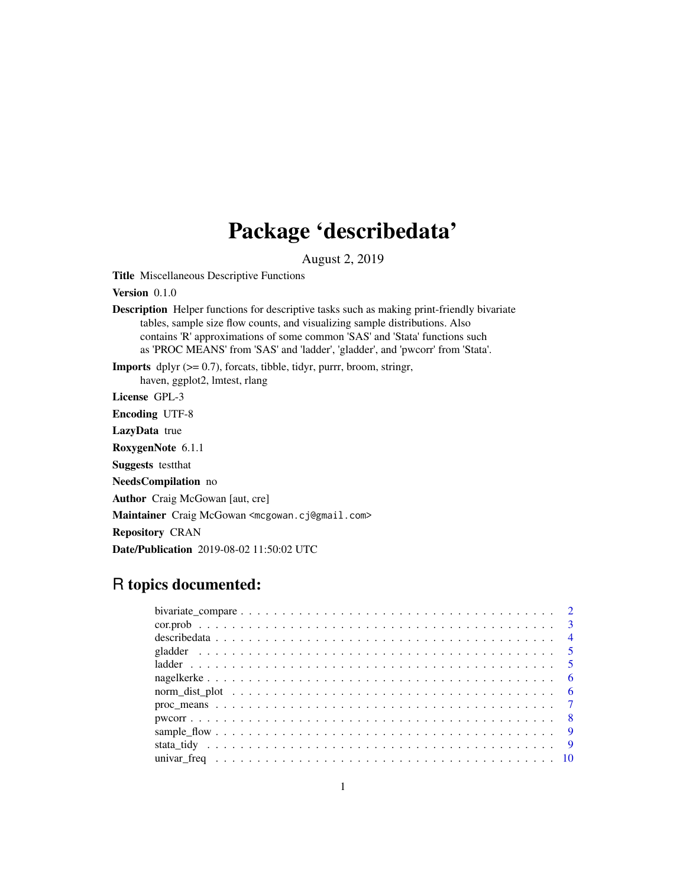# Package 'describedata'

August 2, 2019

Title Miscellaneous Descriptive Functions

Version 0.1.0

Description Helper functions for descriptive tasks such as making print-friendly bivariate tables, sample size flow counts, and visualizing sample distributions. Also contains 'R' approximations of some common 'SAS' and 'Stata' functions such as 'PROC MEANS' from 'SAS' and 'ladder', 'gladder', and 'pwcorr' from 'Stata'.

**Imports** dplyr  $(>= 0.7)$ , forcats, tibble, tidyr, purrr, broom, stringr, haven, ggplot2, lmtest, rlang

License GPL-3

Encoding UTF-8

LazyData true

RoxygenNote 6.1.1

Suggests testthat

NeedsCompilation no

Author Craig McGowan [aut, cre]

Maintainer Craig McGowan <mcgowan.cj@gmail.com>

Repository CRAN

Date/Publication 2019-08-02 11:50:02 UTC

# R topics documented: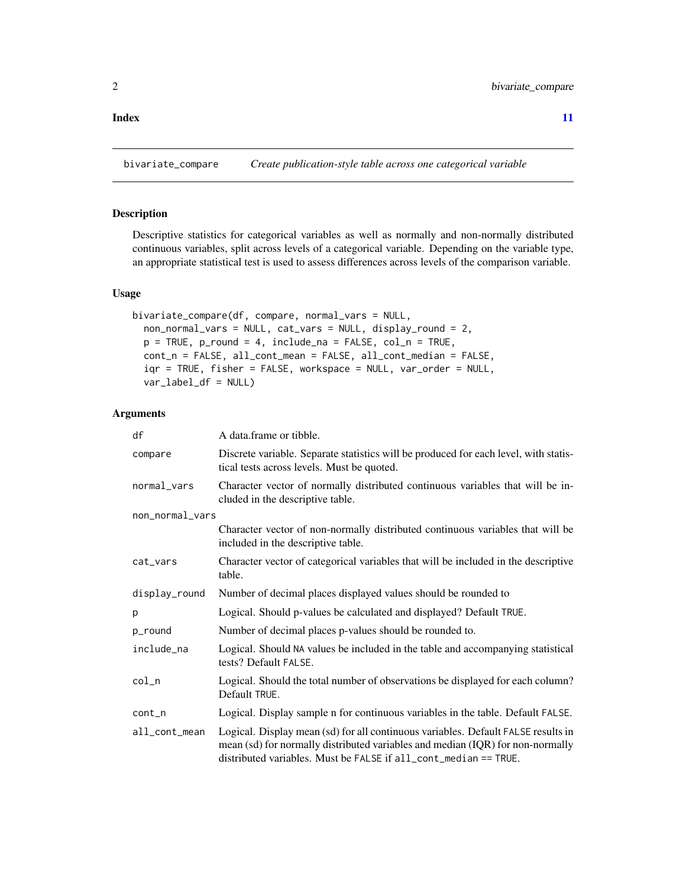# <span id="page-1-0"></span>**Index** [11](#page-10-0)

<span id="page-1-1"></span>

# Description

Descriptive statistics for categorical variables as well as normally and non-normally distributed continuous variables, split across levels of a categorical variable. Depending on the variable type, an appropriate statistical test is used to assess differences across levels of the comparison variable.

# Usage

```
bivariate_compare(df, compare, normal_vars = NULL,
  non_normal_vars = NULL, cat_vars = NULL, display_round = 2,
  p = TRUE, p_{round} = 4, include_{na} = FALSE, col_{na} = TRUE,
  cont_n = FALSE, all_cont_mean = FALSE, all_cont_median = FALSE,
  iqr = TRUE, fisher = FALSE, workspace = NULL, var_order = NULL,
  var_label_df = NULL)
```
# Arguments

| df              | A data.frame or tibble.                                                                                                                                                                                                                        |
|-----------------|------------------------------------------------------------------------------------------------------------------------------------------------------------------------------------------------------------------------------------------------|
| compare         | Discrete variable. Separate statistics will be produced for each level, with statis-<br>tical tests across levels. Must be quoted.                                                                                                             |
| normal_vars     | Character vector of normally distributed continuous variables that will be in-<br>cluded in the descriptive table.                                                                                                                             |
| non_normal_vars |                                                                                                                                                                                                                                                |
|                 | Character vector of non-normally distributed continuous variables that will be<br>included in the descriptive table.                                                                                                                           |
| cat_vars        | Character vector of categorical variables that will be included in the descriptive<br>table.                                                                                                                                                   |
| display_round   | Number of decimal places displayed values should be rounded to                                                                                                                                                                                 |
| p               | Logical. Should p-values be calculated and displayed? Default TRUE.                                                                                                                                                                            |
| p_round         | Number of decimal places p-values should be rounded to.                                                                                                                                                                                        |
| include_na      | Logical. Should NA values be included in the table and accompanying statistical<br>tests? Default FALSE.                                                                                                                                       |
| $col_n$         | Logical. Should the total number of observations be displayed for each column?<br>Default TRUE.                                                                                                                                                |
| $cont_n$        | Logical. Display sample n for continuous variables in the table. Default FALSE.                                                                                                                                                                |
| all_cont_mean   | Logical. Display mean (sd) for all continuous variables. Default FALSE results in<br>mean (sd) for normally distributed variables and median (IQR) for non-normally<br>distributed variables. Must be $FALSE$ if $all\_cont\_median == TRUE$ . |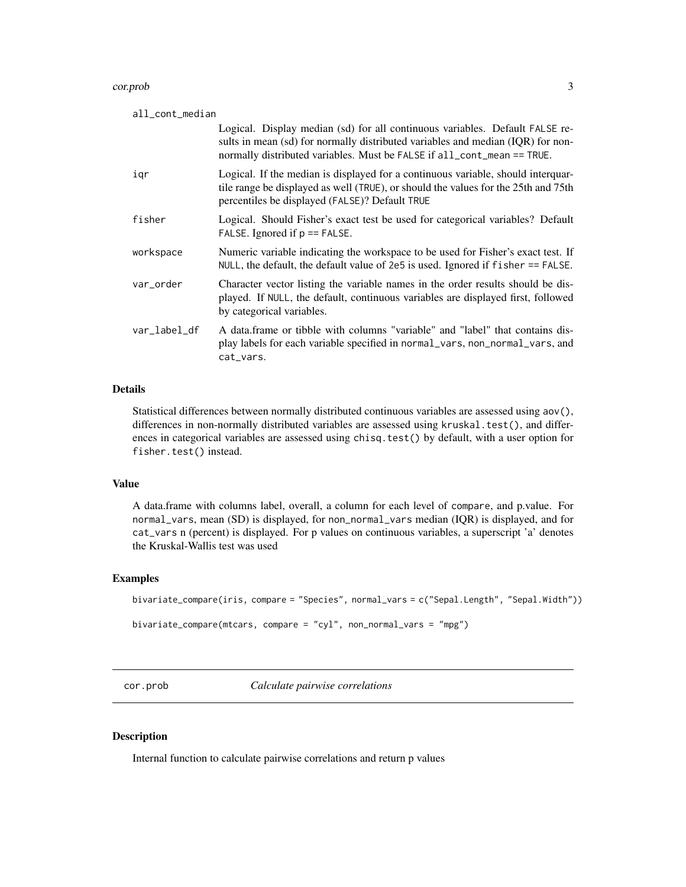#### <span id="page-2-0"></span>cor.prob 3

| all_cont_median |                                                                                                                                                                                                                                            |
|-----------------|--------------------------------------------------------------------------------------------------------------------------------------------------------------------------------------------------------------------------------------------|
|                 | Logical. Display median (sd) for all continuous variables. Default FALSE re-<br>sults in mean (sd) for normally distributed variables and median (IQR) for non-<br>normally distributed variables. Must be FALSE if all_cont_mean == TRUE. |
| igr             | Logical. If the median is displayed for a continuous variable, should interquar-<br>tile range be displayed as well (TRUE), or should the values for the 25th and 75th<br>percentiles be displayed (FALSE)? Default TRUE                   |
| fisher          | Logical. Should Fisher's exact test be used for categorical variables? Default<br>FALSE. Ignored if $p ==$ FALSE.                                                                                                                          |
| workspace       | Numeric variable indicating the workspace to be used for Fisher's exact test. If<br>NULL, the default, the default value of 2e5 is used. Ignored if $fisher = FALSE$ .                                                                     |
| var_order       | Character vector listing the variable names in the order results should be dis-<br>played. If NULL, the default, continuous variables are displayed first, followed<br>by categorical variables.                                           |
| var_label_df    | A data. frame or tibble with columns "variable" and "label" that contains dis-<br>play labels for each variable specified in normal_vars, non_normal_vars, and<br>cat_vars.                                                                |

# Details

Statistical differences between normally distributed continuous variables are assessed using aov(), differences in non-normally distributed variables are assessed using kruskal.test(), and differences in categorical variables are assessed using chisq.test() by default, with a user option for fisher.test() instead.

# Value

A data.frame with columns label, overall, a column for each level of compare, and p.value. For normal\_vars, mean (SD) is displayed, for non\_normal\_vars median (IQR) is displayed, and for cat\_vars n (percent) is displayed. For p values on continuous variables, a superscript 'a' denotes the Kruskal-Wallis test was used

# Examples

```
bivariate_compare(iris, compare = "Species", normal_vars = c("Sepal.Length", "Sepal.Width"))
```

```
bivariate_compare(mtcars, compare = "cyl", non_normal_vars = "mpg")
```
cor.prob *Calculate pairwise correlations*

# Description

Internal function to calculate pairwise correlations and return p values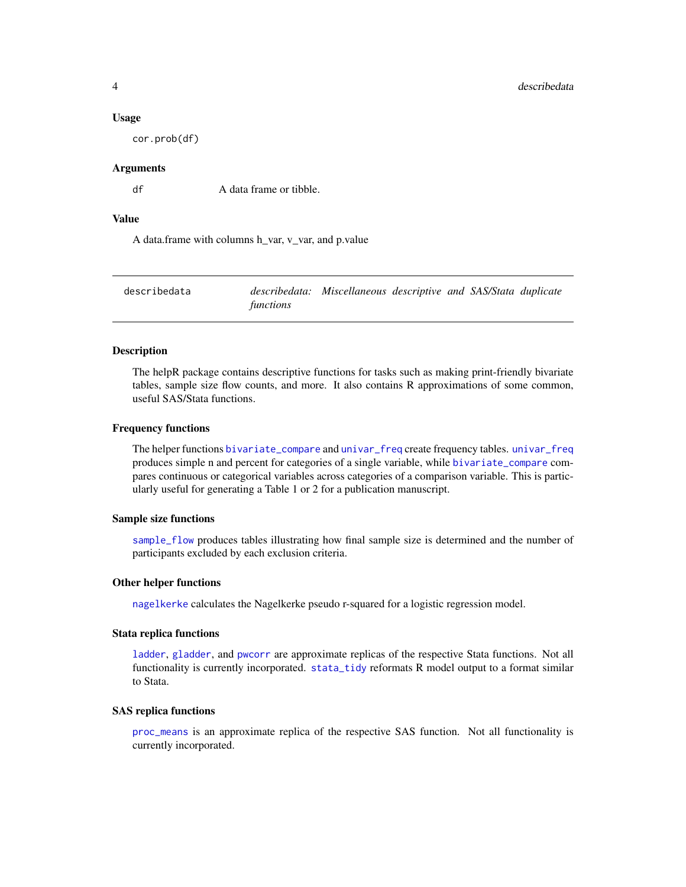#### <span id="page-3-0"></span>Usage

cor.prob(df)

# Arguments

df A data frame or tibble.

#### Value

A data.frame with columns h\_var, v\_var, and p.value

| describedata |           | describedata: Miscellaneous descriptive and SAS/Stata duplicate |  |  |
|--------------|-----------|-----------------------------------------------------------------|--|--|
|              | functions |                                                                 |  |  |

#### Description

The helpR package contains descriptive functions for tasks such as making print-friendly bivariate tables, sample size flow counts, and more. It also contains R approximations of some common, useful SAS/Stata functions.

#### Frequency functions

The helper functions [bivariate\\_compare](#page-1-1) and [univar\\_freq](#page-9-1) create frequency tables. [univar\\_freq](#page-9-1) produces simple n and percent for categories of a single variable, while [bivariate\\_compare](#page-1-1) compares continuous or categorical variables across categories of a comparison variable. This is particularly useful for generating a Table 1 or 2 for a publication manuscript.

#### Sample size functions

[sample\\_flow](#page-8-1) produces tables illustrating how final sample size is determined and the number of participants excluded by each exclusion criteria.

#### Other helper functions

[nagelkerke](#page-5-1) calculates the Nagelkerke pseudo r-squared for a logistic regression model.

# Stata replica functions

[ladder](#page-4-1), [gladder](#page-4-2), and [pwcorr](#page-7-1) are approximate replicas of the respective Stata functions. Not all functionality is currently incorporated. [stata\\_tidy](#page-8-2) reformats R model output to a format similar to Stata.

#### SAS replica functions

[proc\\_means](#page-6-1) is an approximate replica of the respective SAS function. Not all functionality is currently incorporated.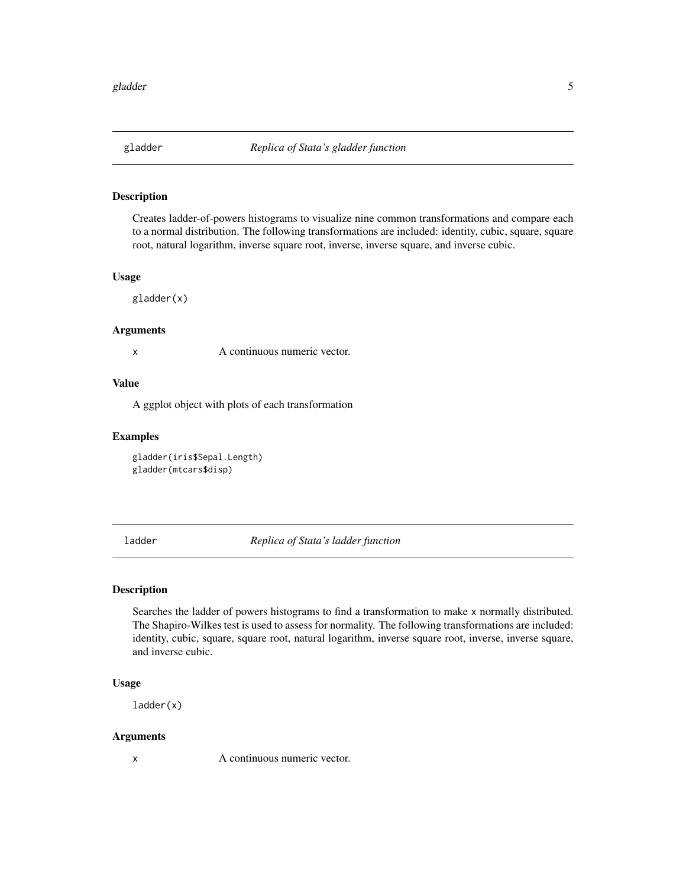<span id="page-4-2"></span><span id="page-4-0"></span>

# Description

Creates ladder-of-powers histograms to visualize nine common transformations and compare each to a normal distribution. The following transformations are included: identity, cubic, square, square root, natural logarithm, inverse square root, inverse, inverse square, and inverse cubic.

# Usage

gladder(x)

#### Arguments

x A continuous numeric vector.

# Value

A ggplot object with plots of each transformation

#### Examples

gladder(iris\$Sepal.Length) gladder(mtcars\$disp)

<span id="page-4-1"></span>ladder *Replica of Stata's ladder function*

# Description

Searches the ladder of powers histograms to find a transformation to make x normally distributed. The Shapiro-Wilkes test is used to assess for normality. The following transformations are included: identity, cubic, square, square root, natural logarithm, inverse square root, inverse, inverse square, and inverse cubic.

# Usage

ladder(x)

#### Arguments

x A continuous numeric vector.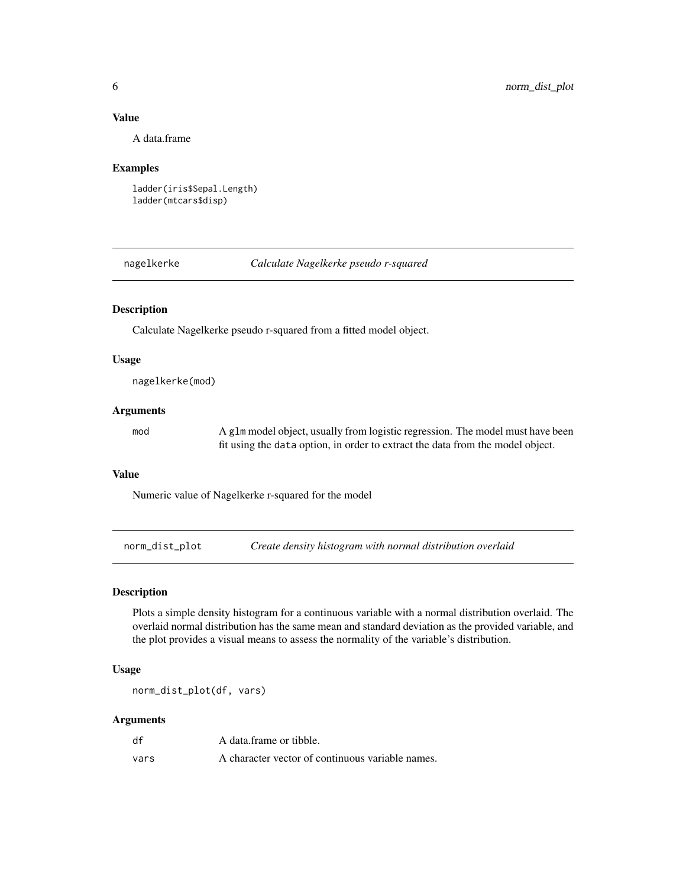# <span id="page-5-0"></span>Value

A data.frame

#### Examples

```
ladder(iris$Sepal.Length)
ladder(mtcars$disp)
```
<span id="page-5-1"></span>nagelkerke *Calculate Nagelkerke pseudo r-squared*

#### Description

Calculate Nagelkerke pseudo r-squared from a fitted model object.

#### Usage

nagelkerke(mod)

#### Arguments

mod A glm model object, usually from logistic regression. The model must have been fit using the data option, in order to extract the data from the model object.

# Value

Numeric value of Nagelkerke r-squared for the model

norm\_dist\_plot *Create density histogram with normal distribution overlaid*

# Description

Plots a simple density histogram for a continuous variable with a normal distribution overlaid. The overlaid normal distribution has the same mean and standard deviation as the provided variable, and the plot provides a visual means to assess the normality of the variable's distribution.

#### Usage

norm\_dist\_plot(df, vars)

# Arguments

| df   | A data frame or tibble.                          |
|------|--------------------------------------------------|
| vars | A character vector of continuous variable names. |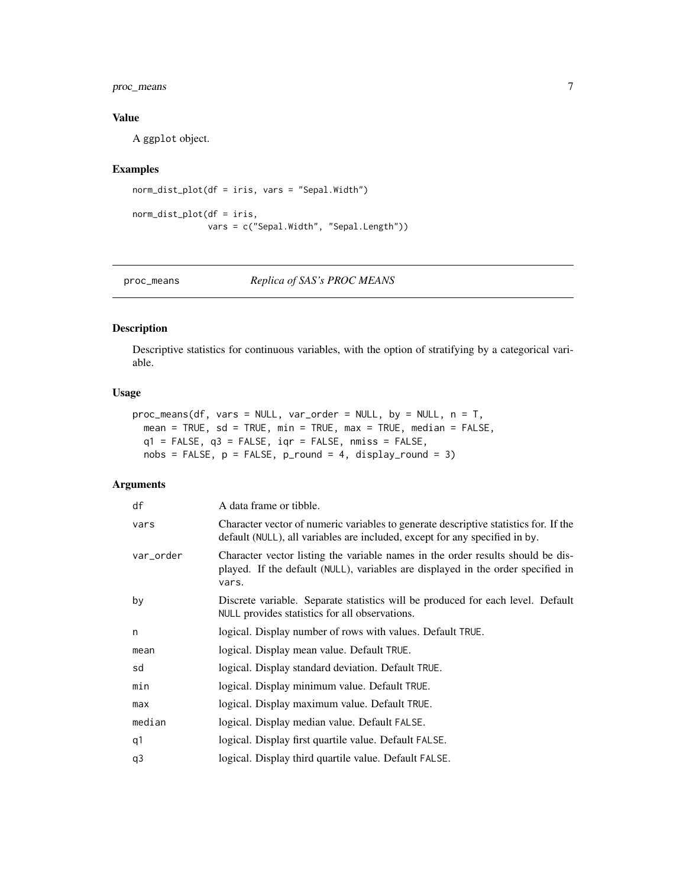<span id="page-6-0"></span>proc\_means 7

# Value

A ggplot object.

# Examples

```
norm_dist_plot(df = iris, vars = "Sepal.Width")
norm_dist_plot(df = iris,
               vars = c("Sepal.Width", "Sepal.Length"))
```
<span id="page-6-1"></span>

proc\_means *Replica of SAS's PROC MEANS*

# Description

Descriptive statistics for continuous variables, with the option of stratifying by a categorical variable.

#### Usage

```
proc_means(df, vars = NULL, var_order = NULL, by = NULL, n = T,
 mean = TRUE, sd = TRUE, min = TRUE, max = TRUE, median = FALSE,
 q1 = FALSE, q3 = FALSE, iqr = FALSE, nmiss = FALSE,
 nobs = FALSE, p = FALSE, p-round = 4, display-round = 3)
```
# Arguments

| df        | A data frame or tibble.                                                                                                                                                      |
|-----------|------------------------------------------------------------------------------------------------------------------------------------------------------------------------------|
| vars      | Character vector of numeric variables to generate descriptive statistics for. If the<br>default (NULL), all variables are included, except for any specified in by.          |
| var_order | Character vector listing the variable names in the order results should be dis-<br>played. If the default (NULL), variables are displayed in the order specified in<br>vars. |
| by        | Discrete variable. Separate statistics will be produced for each level. Default<br>NULL provides statistics for all observations.                                            |
| n         | logical. Display number of rows with values. Default TRUE.                                                                                                                   |
| mean      | logical. Display mean value. Default TRUE.                                                                                                                                   |
| sd        | logical. Display standard deviation. Default TRUE.                                                                                                                           |
| min       | logical. Display minimum value. Default TRUE.                                                                                                                                |
| max       | logical. Display maximum value. Default TRUE.                                                                                                                                |
| median    | logical. Display median value. Default FALSE.                                                                                                                                |
| q1        | logical. Display first quartile value. Default FALSE.                                                                                                                        |
| q3        | logical. Display third quartile value. Default FALSE.                                                                                                                        |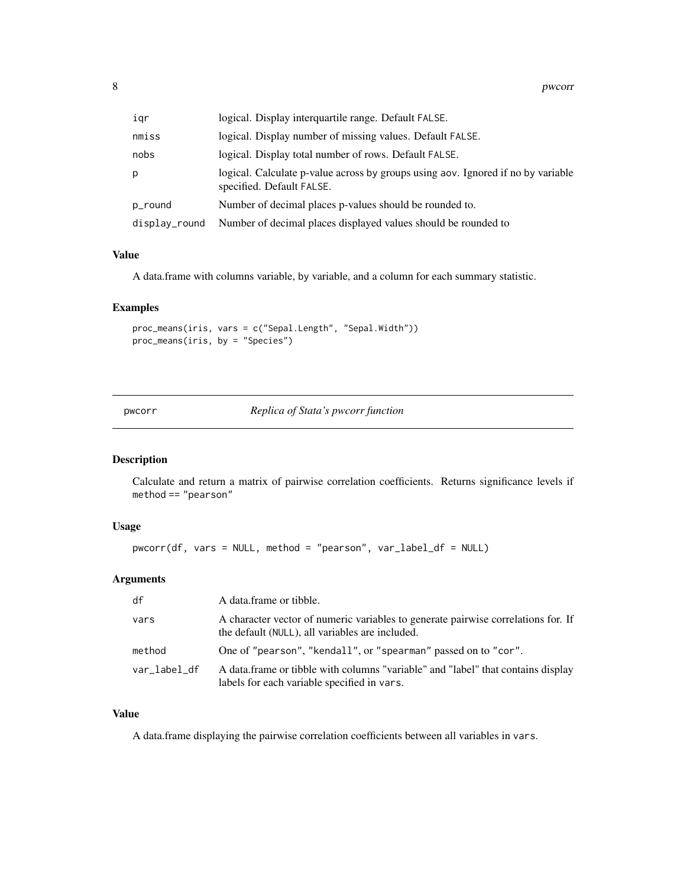<span id="page-7-0"></span>

| iqr           | logical. Display interquartile range. Default FALSE.                                                          |
|---------------|---------------------------------------------------------------------------------------------------------------|
| nmiss         | logical. Display number of missing values. Default FALSE.                                                     |
| nobs          | logical. Display total number of rows. Default FALSE.                                                         |
| p             | logical. Calculate p-value across by groups using aov. Ignored if no by variable<br>specified. Default FALSE. |
| p_round       | Number of decimal places p-values should be rounded to.                                                       |
| display_round | Number of decimal places displayed values should be rounded to                                                |

#### Value

A data.frame with columns variable, by variable, and a column for each summary statistic.

# Examples

```
proc_means(iris, vars = c("Sepal.Length", "Sepal.Width"))
proc_means(iris, by = "Species")
```
<span id="page-7-1"></span>pwcorr *Replica of Stata's pwcorr function*

# Description

Calculate and return a matrix of pairwise correlation coefficients. Returns significance levels if method == "pearson"

#### Usage

pwcorr(df, vars = NULL, method = "pearson", var\_label\_df = NULL)

# Arguments

| df           | A data frame or tibble.                                                                                                              |
|--------------|--------------------------------------------------------------------------------------------------------------------------------------|
| vars         | A character vector of numeric variables to generate pairwise correlations for. If<br>the default (NULL), all variables are included. |
| method       | One of "pearson", "kendall", or "spearman" passed on to "cor".                                                                       |
| var_label_df | A data frame or tibble with columns "variable" and "label" that contains display<br>labels for each variable specified in vars.      |

# Value

A data.frame displaying the pairwise correlation coefficients between all variables in vars.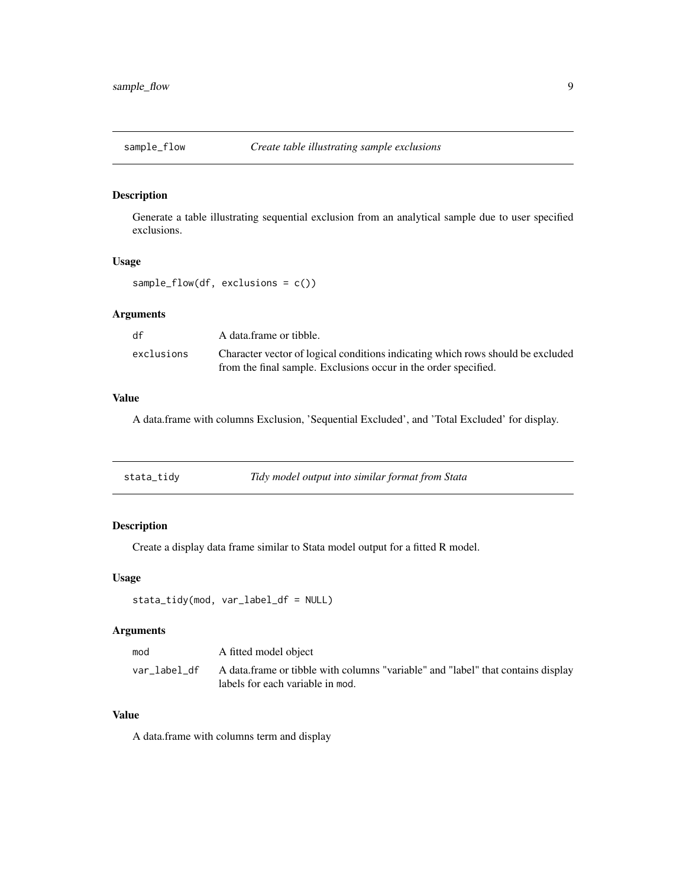<span id="page-8-1"></span><span id="page-8-0"></span>

# Description

Generate a table illustrating sequential exclusion from an analytical sample due to user specified exclusions.

# Usage

sample\_flow(df, exclusions = c())

# Arguments

| df         | A data frame or tibble.                                                         |
|------------|---------------------------------------------------------------------------------|
| exclusions | Character vector of logical conditions indicating which rows should be excluded |
|            | from the final sample. Exclusions occur in the order specified.                 |

# Value

A data.frame with columns Exclusion, 'Sequential Excluded', and 'Total Excluded' for display.

<span id="page-8-2"></span>

| stata_tidy | Tidy model output into similar format from Stata |
|------------|--------------------------------------------------|
|------------|--------------------------------------------------|

# Description

Create a display data frame similar to Stata model output for a fitted R model.

#### Usage

```
stata_tidy(mod, var_label_df = NULL)
```
# Arguments

| mod          | A fitted model object                                                                                                |
|--------------|----------------------------------------------------------------------------------------------------------------------|
| var label df | A data frame or tibble with columns "variable" and "label" that contains display<br>labels for each variable in mod. |

# Value

A data.frame with columns term and display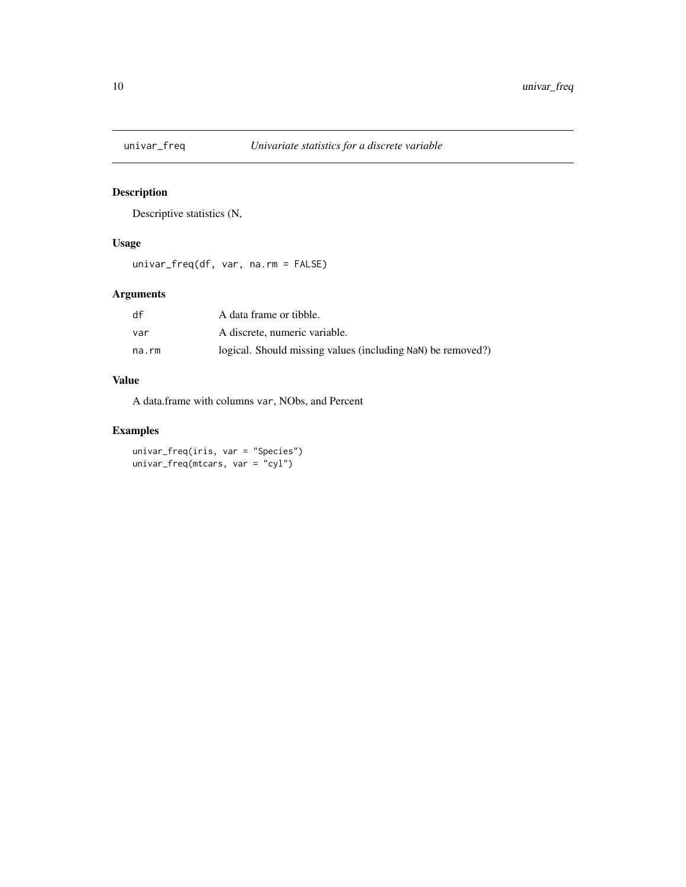<span id="page-9-1"></span><span id="page-9-0"></span>

# Description

Descriptive statistics (N,

# Usage

univar\_freq(df, var, na.rm = FALSE)

# Arguments

| df    | A data frame or tibble.                                     |
|-------|-------------------------------------------------------------|
| var   | A discrete, numeric variable.                               |
| na.rm | logical. Should missing values (including NaN) be removed?) |

# Value

A data.frame with columns var, NObs, and Percent

# Examples

univar\_freq(iris, var = "Species") univar\_freq(mtcars, var = "cyl")